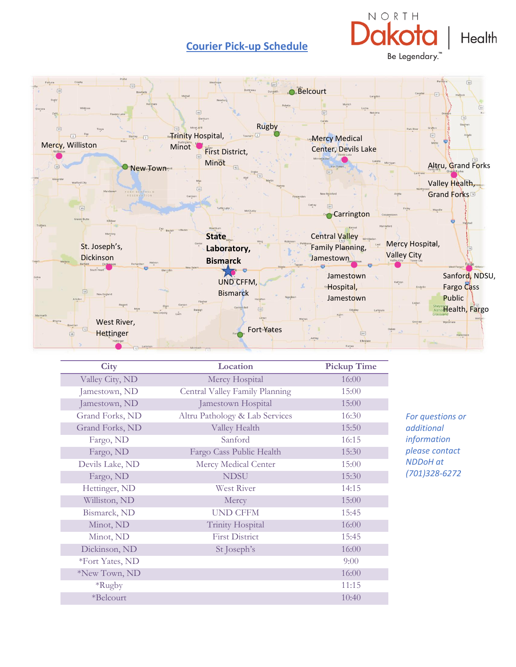## **Courier Pick-up Schedule**







| City            | Location                       | <b>Pickup Time</b> |                                                                                                     |
|-----------------|--------------------------------|--------------------|-----------------------------------------------------------------------------------------------------|
| Valley City, ND | Mercy Hospital                 | 16:00              |                                                                                                     |
| Jamestown, ND   | Central Valley Family Planning | 15:00              | For questions or<br>additional<br>information<br>please contact<br><b>NDDoH</b> at<br>(701)328-6272 |
| Jamestown, ND   | Jamestown Hospital             | 15:00              |                                                                                                     |
| Grand Forks, ND | Altru Pathology & Lab Services | 16:30              |                                                                                                     |
| Grand Forks, ND | Valley Health                  | 15:50              |                                                                                                     |
| Fargo, ND       | Sanford                        | 16:15              |                                                                                                     |
| Fargo, ND       | Fargo Cass Public Health       | 15:30              |                                                                                                     |
| Devils Lake, ND | Mercy Medical Center           | 15:00              |                                                                                                     |
| Fargo, ND       | <b>NDSU</b>                    | 15:30              |                                                                                                     |
| Hettinger, ND   | <b>West River</b>              | 14:15              |                                                                                                     |
| Williston, ND   | Mercy                          | 15:00              |                                                                                                     |
| Bismarck, ND    | <b>UND CFFM</b>                | 15:45              |                                                                                                     |
| Minot, ND       | <b>Trinity Hospital</b>        | 16:00              |                                                                                                     |
| Minot, ND       | <b>First District</b>          | 15:45              |                                                                                                     |
| Dickinson, ND   | St Joseph's                    | 16:00              |                                                                                                     |
| *Fort Yates, ND |                                | 9:00               |                                                                                                     |
| *New Town, ND   |                                | 16:00              |                                                                                                     |
| *Rugby          |                                | 11:15              |                                                                                                     |
| *Belcourt       |                                | 10:40              |                                                                                                     |